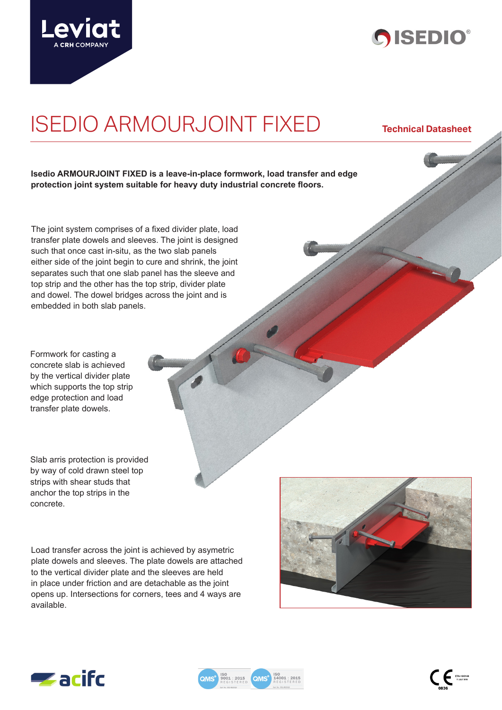



# ISEDIO ARMOURJOINT FIXED **Technical Datasheet**

**Isedio ARMOURJOINT FIXED is a leave-in-place formwork, load transfer and edge protection joint system suitable for heavy duty industrial concrete floors.** 

The joint system comprises of a fixed divider plate, load transfer plate dowels and sleeves. The joint is designed such that once cast in-situ, as the two slab panels either side of the joint begin to cure and shrink, the joint separates such that one slab panel has the sleeve and top strip and the other has the top strip, divider plate and dowel. The dowel bridges across the joint and is embedded in both slab panels.

Formwork for casting a concrete slab is achieved by the vertical divider plate which supports the top strip edge protection and load transfer plate dowels.

Slab arris protection is provided by way of cold drawn steel top strips with shear studs that anchor the top strips in the concrete.

Load transfer across the joint is achieved by asymetric plate dowels and sleeves. The plate dowels are attached to the vertical divider plate and the sleeves are held in place under friction and are detachable as the joint opens up. Intersections for corners, tees and 4 ways are available.



 $\mathbf{C} \in \mathbb{R}^{N \times 1800148}$